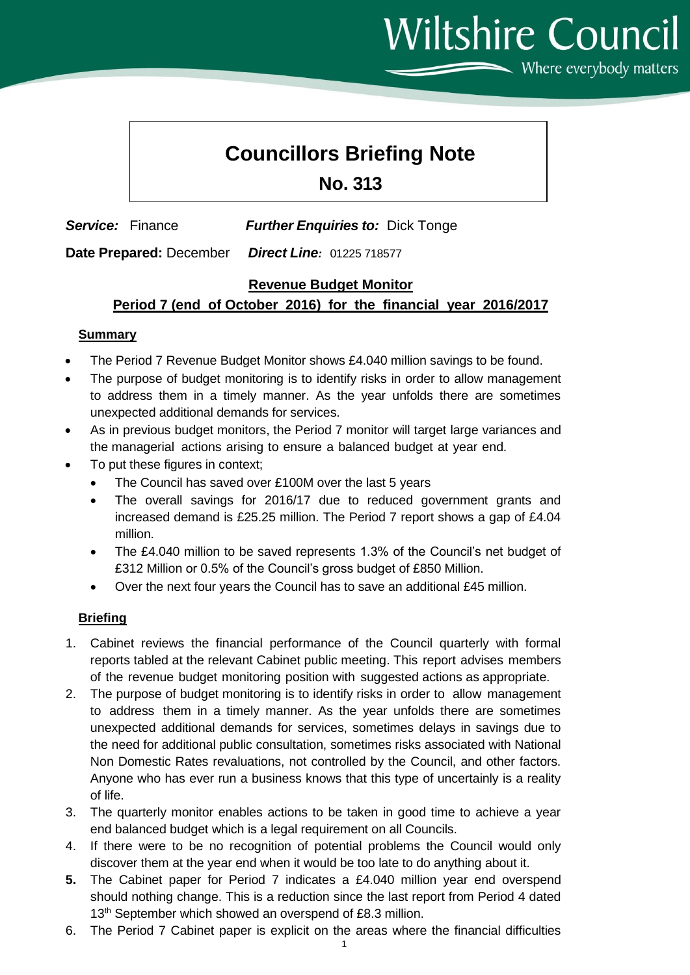$\sum$  Where everybody matters

# **Councillors Briefing Note**

## **No. 313**

*Service:* Finance *Further Enquiries to:* Dick Tonge

**Date Prepared:** December *Direct Line:* 01225 718577

### **Revenue Budget Monitor**

**Period 7 (end of October 2016) for the financial year 2016/2017**

#### **Summary**

- The Period 7 Revenue Budget Monitor shows £4.040 million savings to be found.
- The purpose of budget monitoring is to identify risks in order to allow management to address them in a timely manner. As the year unfolds there are sometimes unexpected additional demands for services.
- As in previous budget monitors, the Period 7 monitor will target large variances and the managerial actions arising to ensure a balanced budget at year end.
- To put these figures in context;
	- The Council has saved over £100M over the last 5 years
	- The overall savings for 2016/17 due to reduced government grants and increased demand is £25.25 million. The Period 7 report shows a gap of £4.04 million.
	- The £4.040 million to be saved represents 1.3% of the Council's net budget of £312 Million or 0.5% of the Council's gross budget of £850 Million.
	- Over the next four years the Council has to save an additional £45 million.

#### **Briefing**

- 1. Cabinet reviews the financial performance of the Council quarterly with formal reports tabled at the relevant Cabinet public meeting. This report advises members of the revenue budget monitoring position with suggested actions as appropriate.
- 2. The purpose of budget monitoring is to identify risks in order to allow management to address them in a timely manner. As the year unfolds there are sometimes unexpected additional demands for services, sometimes delays in savings due to the need for additional public consultation, sometimes risks associated with National Non Domestic Rates revaluations, not controlled by the Council, and other factors. Anyone who has ever run a business knows that this type of uncertainly is a reality of life.
- 3. The quarterly monitor enables actions to be taken in good time to achieve a year end balanced budget which is a legal requirement on all Councils.
- 4. If there were to be no recognition of potential problems the Council would only discover them at the year end when it would be too late to do anything about it.
- **5.** The Cabinet paper for Period 7 indicates a £4.040 million year end overspend should nothing change. This is a reduction since the last report from Period 4 dated 13<sup>th</sup> September which showed an overspend of £8.3 million.
- 6. The Period 7 Cabinet paper is explicit on the areas where the financial difficulties